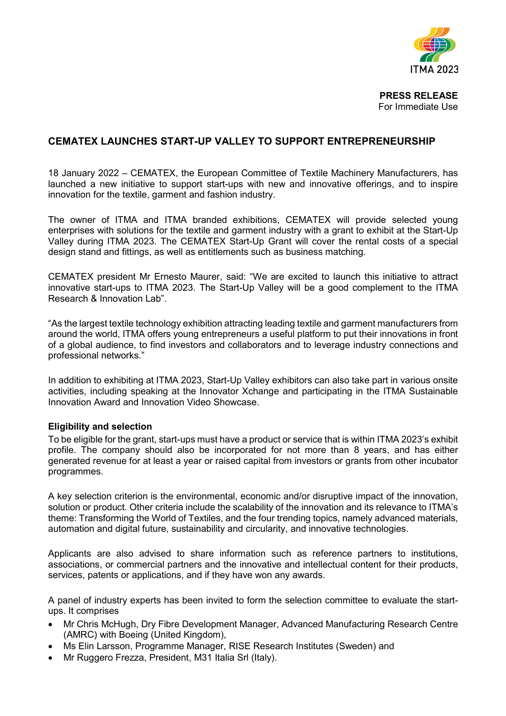

**PRESS RELEASE**  For Immediate Use

## **CEMATEX LAUNCHES START-UP VALLEY TO SUPPORT ENTREPRENEURSHIP**

18 January 2022 – CEMATEX, the European Committee of Textile Machinery Manufacturers, has launched a new initiative to support start-ups with new and innovative offerings, and to inspire innovation for the textile, garment and fashion industry.

The owner of ITMA and ITMA branded exhibitions, CEMATEX will provide selected young enterprises with solutions for the textile and garment industry with a grant to exhibit at the Start-Up Valley during ITMA 2023. The CEMATEX Start-Up Grant will cover the rental costs of a special design stand and fittings, as well as entitlements such as business matching.

CEMATEX president Mr Ernesto Maurer, said: "We are excited to launch this initiative to attract innovative start-ups to ITMA 2023. The Start-Up Valley will be a good complement to the ITMA Research & Innovation Lab".

"As the largest textile technology exhibition attracting leading textile and garment manufacturers from around the world, ITMA offers young entrepreneurs a useful platform to put their innovations in front of a global audience, to find investors and collaborators and to leverage industry connections and professional networks."

In addition to exhibiting at ITMA 2023, Start-Up Valley exhibitors can also take part in various onsite activities, including speaking at the Innovator Xchange and participating in the ITMA Sustainable Innovation Award and Innovation Video Showcase.

## **Eligibility and selection**

To be eligible for the grant, start-ups must have a product or service that is within ITMA 2023's exhibit profile. The company should also be incorporated for not more than 8 years, and has either generated revenue for at least a year or raised capital from investors or grants from other incubator programmes.

A key selection criterion is the environmental, economic and/or disruptive impact of the innovation, solution or product. Other criteria include the scalability of the innovation and its relevance to ITMA's theme: Transforming the World of Textiles, and the four trending topics, namely advanced materials, automation and digital future, sustainability and circularity, and innovative technologies.

Applicants are also advised to share information such as reference partners to institutions, associations, or commercial partners and the innovative and intellectual content for their products, services, patents or applications, and if they have won any awards.

A panel of industry experts has been invited to form the selection committee to evaluate the startups. It comprises

- Mr Chris McHugh, Dry Fibre Development Manager, Advanced Manufacturing Research Centre (AMRC) with Boeing (United Kingdom),
- Ms Elin Larsson, Programme Manager, RISE Research Institutes (Sweden) and
- Mr Ruggero Frezza, President, M31 Italia Srl (Italy).